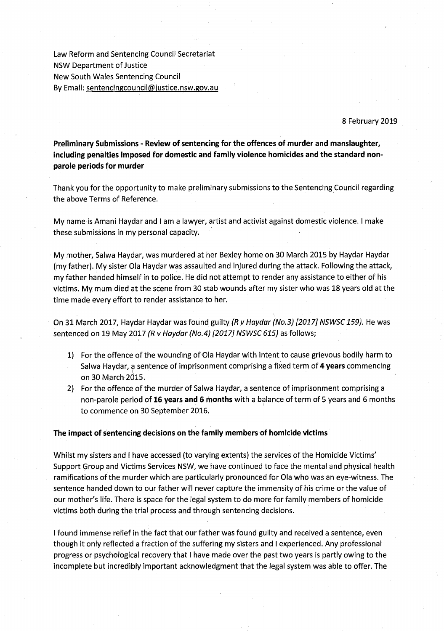Law Reform and Sentencing Council Secretariat NSW Department of Justice New South Wales Sentencing Council By Email: sentencingcouncil@justice.nsw.gov.au

## 8 February 2019

**Preliminary Submissions - Review of sentencing for the offences of murder and manslaughter, including penalties imposed for domestic and family violence homicides and the standard nonparole periods for murder** 

Thank you for the opportunity to make preliminary submissions to the Sentencing Council regarding the above Terms of Reference.

My name is Amani Haydar and I am a lawyer, artist and activist against domestic violence. I make these submissions in my personal capacity.

My mother, Salwa Haydar, was murdered at her Bexley home on 30 March 2015 by Haydar Haydar (my father). My sister Ola Haydar was assaulted and injured during the attack. Following the attack, my father handed himself in to police. He did not attempt to render any assistance to either of his victims. My mum died at the scene from 30 stab wounds after my sister who was 18 years old at the time made every effort to render assistance to her.

On 31 March 2017, Haydar Haydar was found guilty (R v Haydar (No.3) [2017] NSWSC 159). He was sentenced on 19 May 2017 (R v Haydar (No.4) [2017] NSWSC 615) as follows;

- 1) For the offence of the wounding of Ola Haydar with intent to cause grievous bodily harm to Salwa Haydar, a sentence of imprisonment comprising a fixed term of **4 years** commencing ( on 30 March 2015. ·
- 2) For the offence of the murder of Salwa Haydar, a sentence of imprisonment comprising a non-parole period of **16 years and 6 months** with a balance of term of 5 years and 6 months to commence on 30 September 2016.

### **The impact of sentencing decisions on the family members of homicide victims**

Whilst my sisters and I have accessed (to varying extents) the services of the Homicide Victims' Support Group and Victims Services NSW, we have continued to face the mental and physical health ramifications of the murder which are particularly pronounced for Ola who was an eye-witness. The sentence handed down to our father will never capture the immensity of his crime or the value of our mother's life. There is space for the legal system to do more for family members of homicide victims both during the trial process and through sentencing decisions.

I found immense relief in the fact that our father was found guilty and received a sentence, even though it only reflected a fraction of the suffering my sisters and I experienced. Any professional progress or psychological recovery that I have made over the past two years is partly owing to the incomplete but incredibly important acknowledgment that the legal system was able to offer. The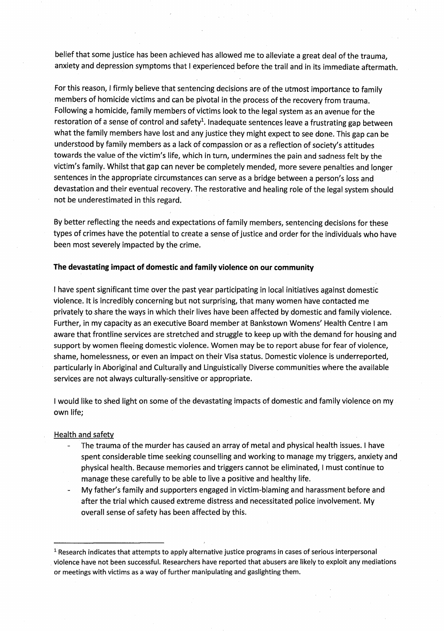belief that some justice has been achieved has allowed me to alleviate a great deal of the trauma, anxiety and depression symptoms that I experienced before the trail and in its immediate aftermath.

For this reason, I firmly believe that sentencing decisions are of the utmost importance to family members of homicide victims and can be pivotal in the process of the recovery from trauma. Following a homicide, family members of victims look to the legal system as an avenue for the restoration of a sense of control and safety<sup>1</sup>. Inadequate sentences leave a frustrating gap between what the family members have lost and any justice they might expect to see done. This gap can be understood by family members as a lack of compassion or as a reflection of society's attitudes towards the value of the victim's life, which in turn, undermines the pain and sadness felt by the victim's family. Whilst that gap can never be completely mended, more severe penalties and longer sentences in the appropriate circumstances can serve as a bridge between a person's loss and devastation and their eventual recovery. The restorative and healing role of the legal system should not be underestimated in this regard.

By better reflecting the needs and expectations of family members, sentencing decisions for these types of crimes have the potential to create a sense of justice and order for the individuals who have been most severely impacted by the crime.

## **The devastating impact of domestic and family violence on our community**

I have spent significant time over the past year participating in local initiatives against domestic violence. It is incredibly concerning but not surprising, that many women have contacted me privately to share the ways in which their lives have been affected by domestic and family violence. Further, in my capacity as an executive Board member at Bankstown Womens' Health Centre I am aware that frontline services are stretched and struggle to keep up with the demand for housing and support by women fleeing domestic violence. Women may be to report abuse for fear of violence, shame, homelessness, or even an impact on their Visa status. Domestic violence is underreported, particularly in Aboriginal and Culturally and Linguistically Diverse communities where the available services are not always culturally-sensitive or appropriate.

I would like to shed light on some of the devastating impacts of domestic and family violence on my own life;

### Health and safety

- The trauma of the murder has caused an array of metal and physical health issues. I have spent considerable time seeking counselling and working to manage my triggers, anxiety and physical health. Because memories and triggers cannot be eliminated, I must continue to manage these carefully to be able to live a positive and healthy life.
- My father's family and supporters engaged in victim-blaming and harassment before and after the trial which caused extreme distress and necessitated police involvement. My overall sense of safety has been affected by this.

<sup>&</sup>lt;sup>1</sup> Research indicates that attempts to apply alternative justice programs in cases of serious interpersonal . violence have not been successful. Researchers have reported that abusers are likely to exploit any mediations or meetings with victims as a way of further manipulating and gaslighting them.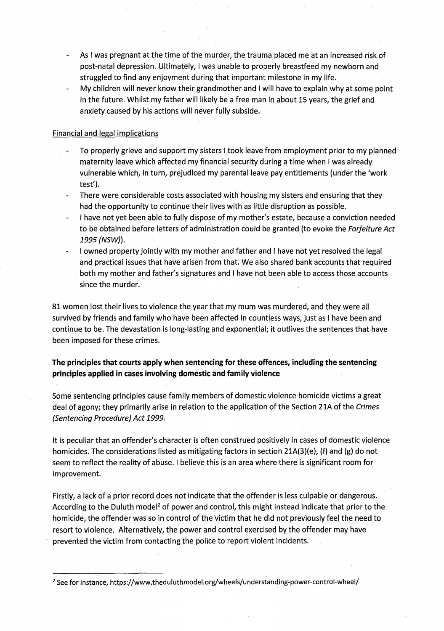- As I was pregnant at the time of the murder, the trauma placed me at an increased risk of post-natal depression. Ultimately, I was unableto properly breastfeed my newborn and struggled to find any enjoyment during that important milestone in my life.
- My children will never know their grandmother and I will have to explain why at some point in the future. Whilst my father will likely be a free man in about 15 years, the grief and anxiety caused by his actions will never fully subside.

# Financial and legal implications

- To properly grieve and support my sisters I took leave from employment prior to my planned maternity leave which affected my financial security during a time when I was already vulnerable which, in turn, prejudiced my parental leave pay entitlements (under the 'work test').
- There were considerable costs associated with housing my sisters and ensuring that they had the opportunity to continue their lives with as little disruption as possible.
- I have not yet been able to fully dispose of my mother's estate; because a conviction needed to be obtained before letters of administration could be granted (to evoke the Forfeiture Act 1995 (NSW}).
- I owned property jointly with my mother and father and I have not yet resolved the legal and practical issues that have arisen from that. We also shared bank accounts that required both my mother and father's signatures and I have not been able to access those accounts since the murder.

81 women lost their lives to violence the year that my mum was murdered, and they were all survived by friends and family who have been affected in countless ways, just as I have been and continue to be. The devastation is long-lasting and exponential; it outlives the sentences that have been imposed for these crimes.

**The principles that courts apply when sentencing for these offences, including the sentencing** · **principles applied in cases involving domestic and family violence** 

. Some sentencing principles cause family members of domestic violence homicide victims a great deal of agony; they primarily arise in relation to the application of the Section 21A of the Crimes (Sentencing Procedure) Act 1999.

It is peculiar that an offender's character is often construed positively in cases of domestic violence homicides. The considerations listed as mitigating factors in section 21A(3)(e), (f) and (g) do not seem to reflect the reality of abuse. I believe this is an area where there is significant room for improvement.

Firstly, a lack of a prior record does not indicate that the offender is less culpable or dangerous. According to the Duluth model<sup>2</sup> of power and control, this might instead indicate that prior to the homicide, the offender was so in control of the Victim that he did not previously feel the need to resort to violence. Alternatively, the power and control exercised by the offender may have prevented the victim from contacting the police to report violent incidents.

<sup>&</sup>lt;sup>2</sup> See for instance, https://www.theduluthmodel.org/wheels/understanding-power-control-wheel/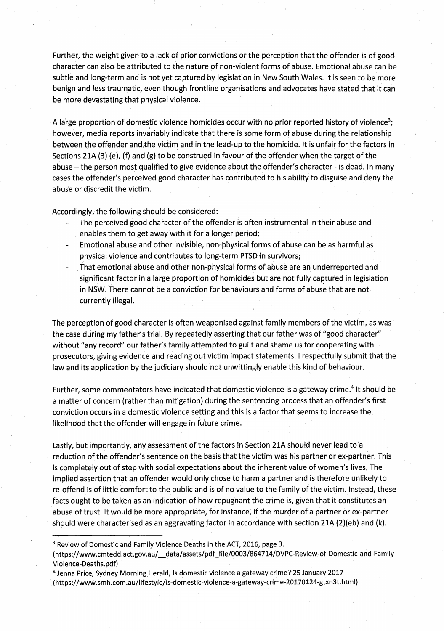Further, the weight given to a lack of prior convictions or the perception that the offender is of good character can also be attributed to the nature of non-violent forms of abuse. Emotional abuse can be subtle and long-term and is not yet captured by legislation in New South Wales. It is seen to be more benign and less traumatic, even though frontline organisations and advocates have stated that it can be more devastating that physical violence.

A large proportion of domestic violence homicides occur with no prior reported history of violence<sup>3</sup>; however, media reports invariably indicate that there is some form of abuse during the relationship between the offender and the victim and in the lead-up to the homicide. It is unfair for the factors in Sections 21A (3) (e), (f) and (g) to be construed in favour of the offender when the target of the abuse - the person most qualified to give evidence about the offender's character - is dead. In many cases the offender's perceived good character has contributed to his ability to disguise and deny the abuse or discredit the victim.

Accordingly, the following should be considered:

- The perceived good character of the offender is often instrumental in their abuse and
- enables them to get away with it for a longer period;
- Emotional abuse and other invisible, non-physical forms of abuse can be as harmful as physical violence and contributes to long-term PTSD in survivors;
- That emotional abuse and other non-physical forms of abuse are an underreported and significant factor in a large proportion of homicides but are not fully captured in legislation in NSW. There cannot be a conviction for behaviours and forms of abuse that are not currently illegal.

The perception of good character is often weaponised against family members of the victim, as was· the case during my father's trial. By repeatedly asserting that our father was of "good character" without "any record" our father's family attempted to guilt and shame us for cooperating with prosecutors, giving evidence and reading out victim impact statements. I respectfully submit that the law and its application by the judiciary should not unwittingly enable this kind of behaviour.

Further, some commentators have indicated that domestic violence is a gateway crime.<sup>4</sup> It should be a matter of concern (rather than mitigation) during the sentencing process that an offender's first conviction occurs in a domestic violence setting and this is a factor that seems to increase the likelihood that the offender will engage in future crime.

Lastly, but importantly, any assessment of the factors in Section 21A should never lead to a reduction of the offender's sentence on the basis that the victim was his partner or ex-partner. This is completely out of step with social expectations about the inherent value of women's lives. The implied assertion that an offender would only chose to harm a partner and is therefore unlikely to re-offend is of little comfort to the public and is of no value to the family of the victim. Instead, these facts ought to be taken as an indication of how repugnant the crime is, given that it constitutes an abuse of trust. It would be more appropriate, for instance; if the murder of a partner or ex-partner should were characterised as an aggravating factor in accordance with section 21A (2)(eb) and (k).

3 Review of Domestic and Family Violence Deaths in the ACT, 2016, page 3.

<sup>4</sup> Jenna Price, Sydney Morning Herald, Is domestic violence a gateway crime? 25 January 2017 · ( https ://www.smh.com .au/lifestyle/is~domestic~violence-a-gateway-crime~20170124-gtxn3t.html)

<sup>(</sup>https://www.cmtedd.act.gov.au/\_\_data/assets/pdf\_file/0003/864714/DVPC-Review-of-Domestic-and-Family-Violence-Deaths.pdf)